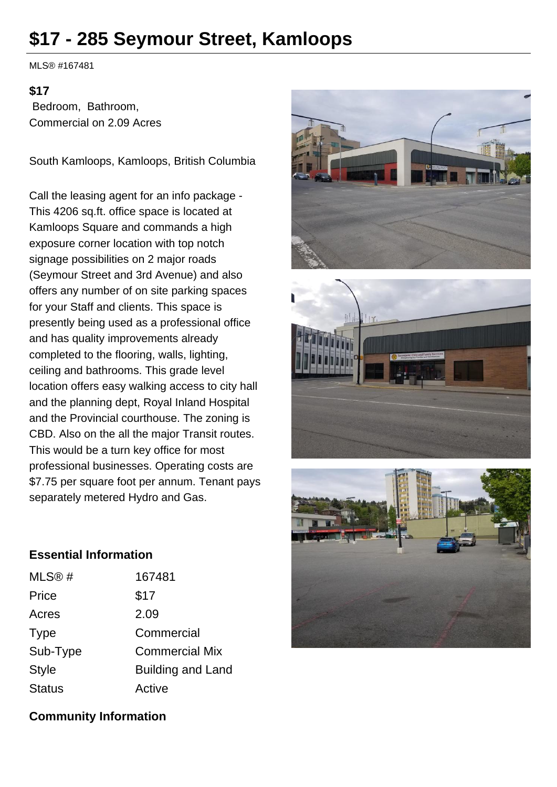## **\$17 - 285 Seymour Street, Kamloops**

MLS® #167481

## **\$17**

 Bedroom, Bathroom, Commercial on 2.09 Acres

South Kamloops, Kamloops, British Columbia

Call the leasing agent for an info package - This 4206 sq.ft. office space is located at Kamloops Square and commands a high exposure corner location with top notch signage possibilities on 2 major roads (Seymour Street and 3rd Avenue) and also offers any number of on site parking spaces for your Staff and clients. This space is presently being used as a professional office and has quality improvements already completed to the flooring, walls, lighting, ceiling and bathrooms. This grade level location offers easy walking access to city hall and the planning dept, Royal Inland Hospital and the Provincial courthouse. The zoning is CBD. Also on the all the major Transit routes. This would be a turn key office for most professional businesses. Operating costs are \$7.75 per square foot per annum. Tenant pays separately metered Hydro and Gas.







## **Essential Information**

| MLS@#         | 167481                   |
|---------------|--------------------------|
| Price         | \$17                     |
| Acres         | 2.09                     |
| Type          | Commercial               |
| Sub-Type      | <b>Commercial Mix</b>    |
| <b>Style</b>  | <b>Building and Land</b> |
| <b>Status</b> | Active                   |

## **Community Information**